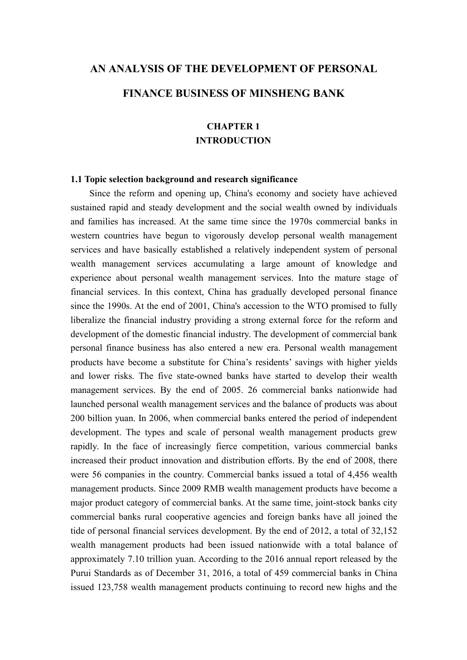# **AN ANALYSIS OF THE DEVELOPMENT OF PERSONAL FINANCE BUSINESS OF MINSHENG BANK**

# **CHAPTER 1 INTRODUCTION**

# **1.1 Topic selection background and research significance**

Since the reform and opening up, China's economy and society have achieved sustained rapid and steady development and the social wealth owned by individuals and families has increased. At the same time since the 1970s commercial banks in western countries have begun to vigorously develop personal wealth management services and have basically established a relatively independent system of personal wealth management services accumulating a large amount of knowledge and experience about personal wealth management services. Into the mature stage of financial services. In this context, China has gradually developed personal finance since the 1990s. At the end of 2001, China's accession to the WTO promised to fully liberalize the financial industry providing a strong external force for the reform and development of the domestic financial industry. The development of commercial bank personal finance business has also entered a new era.Personal wealth management products have become a substitute for China's residents' savings with higher yields and lower risks. The five state-owned banks have started to develop their wealth management services. By the end of 2005. 26 commercial banks nationwide had launched personal wealth management services and the balance of products was about 200 billion yuan. In 2006, when commercial banks entered the period of independent development. The types and scale of personal wealth management products grew rapidly. In the face of increasingly fierce competition, various commercial banks increased their product innovation and distribution efforts. By the end of 2008, there were 56 companies in the country. Commercial banks issued a total of 4,456 wealth management products. Since 2009 RMB wealth management products have become a major product category of commercial banks. At the same time, joint-stock banks city commercial banks rural cooperative agencies and foreign banks have all joined the tide of personal financial services development. By the end of 2012, a total of 32,152 wealth management products had been issued nationwide with a total balance of approximately 7.10 trillion yuan. According to the 2016 annual report released by the Purui Standards as of December 31,2016, a total of 459 commercial banks in China issued 123,758 wealth management products continuing to record new highs and the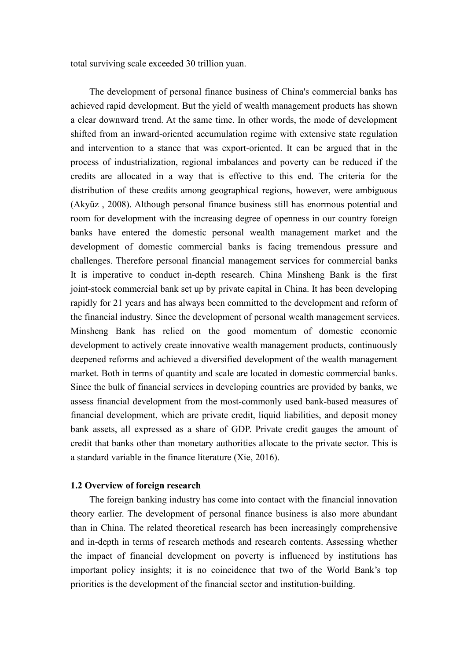total surviving scale exceeded 30 trillion yuan.

The development of personal finance business of China's commercial banks has achieved rapid development. But the yield of wealth management products has shown a clear downward trend. At the same time. In other words, the mode of development shifted from an inward-oriented accumulation regime with extensive state regulation and intervention to a stance that was export-oriented. It can be argued that in the process of industrialization, regional imbalances and poverty can be reduced if the credits are allocated in a way that is effective to this end. The criteria for the distribution of these credits among geographical regions, however, were ambiguous (Akyüz , 2008). Although personal finance business still has enormous potential and room for development with the increasing degree of openness in our country foreign banks have entered the domestic personal wealth management market and the development of domestic commercial banks is facing tremendous pressure and challenges. Therefore personal financial management services for commercial banks It is imperative to conduct in-depth research. China Minsheng Bank is the first joint-stock commercial bank set up by private capital in China. It has been developing rapidly for 21 years and has always been committed to the development and reform of the financial industry. Since the development of personal wealth management services. Minsheng Bank has relied on the good momentum of domestic economic development to actively create innovative wealth management products, continuously deepened reforms and achieved a diversified development of the wealth management market. Both in terms of quantity and scale are located in domestic commercial banks. Since the bulk of financial services in developing countries are provided by banks, we assess financial development from the most-commonly used bank-based measures of financial development, which are private credit, liquid liabilities, and deposit money bank assets, all expressed as a share of GDP. Private credit gauges the amount of credit that banks other than monetary authorities allocate to the private sector. This is a standard variable in the finance literature (Xie, 2016).

# **1.2 Overview of foreign research**

The foreign banking industry has come into contact with the financial innovation theory earlier. The development of personal finance business is also more abundant than in China. The related theoretical research has been increasingly comprehensive and in-depth in terms of research methods and research contents. Assessing whether the impact of financial development on poverty is influenced by institutions has important policy insights; it is no coincidence that two of the World Bank's top priorities is the development of the financial sector and institution-building.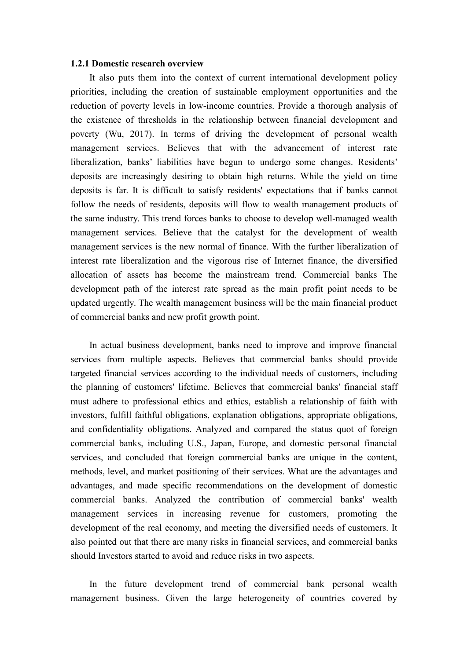#### **1.2.1 Domestic research overview**

It also puts them into the context of current international development policy priorities, including the creation of sustainable employment opportunities and the reduction of poverty levels in low-income countries. Provide a thorough analysis of the existence of thresholds in the relationship between financial development and poverty (Wu, 2017). In terms of driving the development of personal wealth management services. Believes that with the advancement of interest rate liberalization, banks' liabilities have begun to undergo some changes. Residents' deposits are increasingly desiring to obtain high returns. While the yield on time deposits is far. It is difficult to satisfy residents' expectations that if banks cannot follow the needs of residents, deposits will flow to wealth management products of the same industry. This trend forces banks to choose to develop well-managed wealth management services. Believe that the catalyst for the development of wealth management services is the new normal of finance. With the further liberalization of interest rate liberalization and the vigorous rise of Internet finance, the diversified allocation of assets has become the mainstream trend. Commercial banks The development path of the interest rate spread as the main profit point needs to be updated urgently. The wealth management business will be the main financial product of commercial banks and new profit growth point.

In actual business development, banks need to improve and improve financial services from multiple aspects. Believes that commercial banks should provide targeted financial services according to the individual needs of customers, including the planning of customers' lifetime. Believes that commercial banks' financial staff must adhere to professional ethics and ethics, establish a relationship of faith with investors, fulfill faithful obligations, explanation obligations, appropriate obligations, and confidentiality obligations. Analyzed and compared the status quot of foreign commercial banks, including U.S., Japan, Europe, and domestic personal financial services, and concluded that foreign commercial banks are unique in the content, methods, level, and market positioning of their services. What are the advantages and advantages, and made specific recommendations on the development of domestic commercial banks. Analyzed the contribution of commercial banks' wealth management services in increasing revenue for customers, promoting the development of the real economy, and meeting the diversified needs of customers. It also pointed out that there are many risks in financial services, and commercial banks should Investors started to avoid and reduce risks in two aspects.

In the future development trend of commercial bank personal wealth management business. Given the large heterogeneity of countries covered by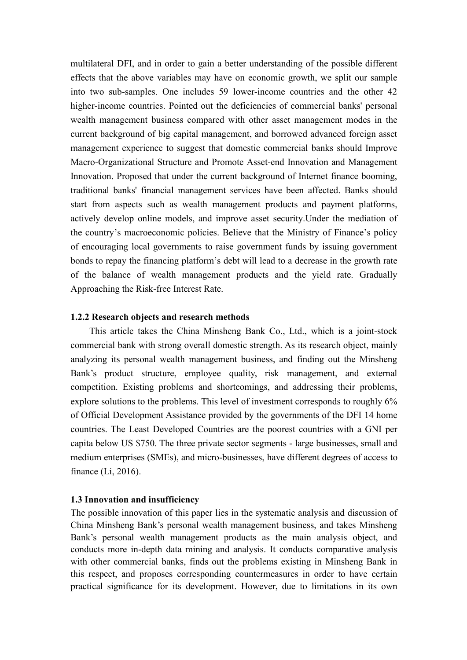multilateral DFI, and in order to gain a better understanding of the possible different effects that the above variables may have on economic growth, we split our sample into two sub-samples. One includes 59 lower-income countries and the other 42 higher-income countries. Pointed out the deficiencies of commercial banks' personal wealth management business compared with other asset management modes in the current background of big capital management, and borrowed advanced foreign asset management experience to suggest that domestic commercial banks should Improve Macro-Organizational Structure and Promote Asset-end Innovation and Management Innovation. Proposed that under the current background of Internet finance booming, traditional banks' financial management services have been affected. Banks should start from aspects such as wealth management products and payment platforms, actively develop online models, and improve asset security.Under the mediation of the country's macroeconomic policies. Believe that the Ministry of Finance's policy of encouraging local governments to raise government funds by issuing government bonds to repay the financing platform's debt will lead to a decrease in the growth rate of the balance of wealth management products and the yield rate. Gradually Approaching the Risk-free Interest Rate.

# **1.2.2 Research objects and research methods**

This article takes the China Minsheng Bank Co., Ltd., which is a joint-stock commercial bank with strong overall domestic strength. As its research object, mainly analyzing its personal wealth management business, and finding out the Minsheng Bank's product structure, employee quality, risk management, and external competition. Existing problems and shortcomings, and addressing their problems, explore solutions to the problems. This level of investment corresponds to roughly 6% of Official Development Assistance provided by the governments of the DFI 14 home countries. The Least Developed Countries are the poorest countries with a GNI per capita below US \$750. The three private sector segments - large businesses, small and medium enterprises (SMEs), and micro-businesses, have different degrees of access to finance (Li, 2016).

# **1.3 Innovation and insufficiency**

The possible innovation of this paper lies in the systematic analysis and discussion of China Minsheng Bank's personal wealth management business, and takes Minsheng Bank's personal wealth management products as the main analysis object, and conducts more in-depth data mining and analysis. It conducts comparative analysis with other commercial banks, finds out the problems existing in Minsheng Bank in this respect, and proposes corresponding countermeasures in order to have certain practical significance for its development. However, due to limitations in its own